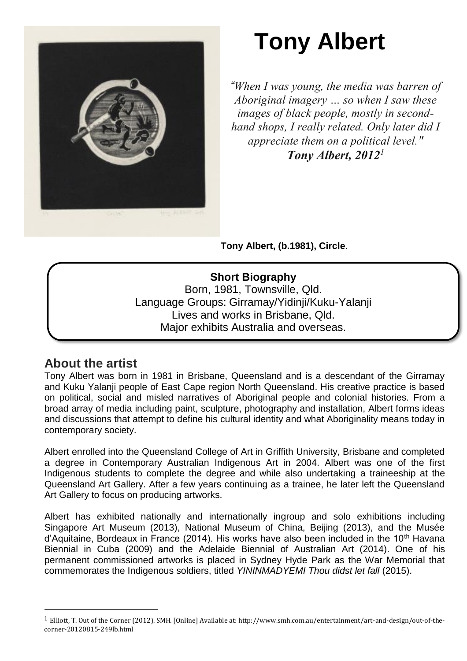

# **Tony Albert**

*"When I was young, the media was barren of Aboriginal imagery … so when I saw these images of black people, mostly in secondhand shops, I really related. Only later did I appreciate them on a political level." Tony Albert, 2012<sup>1</sup>*

**Tony Albert, (b.1981), Circle**.

**Short Biography** Born, 1981, Townsville, Qld. Language Groups: Girramay/Yidinji/Kuku-Yalanji Lives and works in Brisbane, Qld. Major exhibits Australia and overseas.

Founding Member of proppaNOW.

# **About the artist**

 $\overline{\phantom{a}}$ 

Tony Albert was born in 1981 in Brisbane, Queensland and is a descendant of the Girramay and Kuku Yalanji people of East Cape region North Queensland. His creative practice is based on political, social and misled narratives of Aboriginal people and colonial histories. From a broad array of media including paint, sculpture, photography and installation, Albert forms ideas and discussions that attempt to define his cultural identity and what Aboriginality means today in contemporary society.

Albert enrolled into the Queensland College of Art in Griffith University, Brisbane and completed a degree in Contemporary Australian Indigenous Art in 2004. Albert was one of the first Indigenous students to complete the degree and while also undertaking a traineeship at the Queensland Art Gallery. After a few years continuing as a trainee, he later left the Queensland Art Gallery to focus on producing artworks.

Albert has exhibited nationally and internationally ingroup and solo exhibitions including Singapore Art Museum (2013), National Museum of China, Beijing (2013), and the Musée  $d'$ Aquitaine, Bordeaux in France (2014). His works have also been included in the 10<sup>th</sup> Havana Biennial in Cuba (2009) and the Adelaide Biennial of Australian Art (2014). One of his permanent commissioned artworks is placed in Sydney Hyde Park as the War Memorial that commemorates the Indigenous soldiers, titled *YININMADYEMI Thou didst let fall* (2015).

<sup>1</sup> Elliott, T. Out of the Corner (2012). SMH. [Online] Available at: http://www.smh.com.au/entertainment/art-and-design/out-of-thecorner-20120815-249lb.html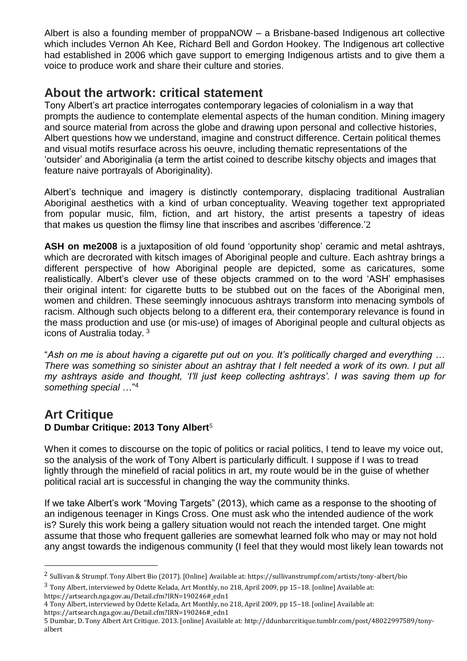Albert is also a founding member of proppaNOW – a Brisbane-based Indigenous art collective which includes Vernon Ah Kee, Richard Bell and Gordon Hookey. The Indigenous art collective had established in 2006 which gave support to emerging Indigenous artists and to give them a voice to produce work and share their culture and stories.

### **About the artwork: critical statement**

Tony Albert's art practice interrogates contemporary legacies of colonialism in a way that prompts the audience to contemplate elemental aspects of the human condition. Mining imagery and source material from across the globe and drawing upon personal and collective histories, Albert questions how we understand, imagine and construct difference. Certain political themes and visual motifs resurface across his oeuvre, including thematic representations of the 'outsider' and Aboriginalia (a term the artist coined to describe kitschy objects and images that feature naive portrayals of Aboriginality).

Albert's technique and imagery is distinctly contemporary, displacing traditional Australian Aboriginal aesthetics with a kind of urban conceptuality. Weaving together text appropriated from popular music, film, fiction, and art history, the artist presents a tapestry of ideas that makes us question the flimsy line that inscribes and ascribes 'difference.'2

**ASH on me2008** is a juxtaposition of old found 'opportunity shop' ceramic and metal ashtrays, which are decrorated with kitsch images of Aboriginal people and culture. Each ashtray brings a different perspective of how Aboriginal people are depicted, some as caricatures, some realistically. Albert's clever use of these objects crammed on to the word 'ASH' emphasises their original intent: for cigarette butts to be stubbed out on the faces of the Aboriginal men, women and children. These seemingly innocuous ashtrays transform into menacing symbols of racism. Although such objects belong to a different era, their contemporary relevance is found in the mass production and use (or mis-use) of images of Aboriginal people and cultural objects as icons of Australia today. <sup>3</sup>

"*Ash on me is about having a cigarette put out on you. It's politically charged and everything … There was something so sinister about an ashtray that I felt needed a work of its own. I put all my ashtrays aside and thought, 'I'll just keep collecting ashtrays'. I was saving them up for something special* …" 4

# **Art Critique**

 $\overline{\phantom{a}}$ 

#### **D Dumbar Critique: 2013 Tony Albert**<sup>5</sup>

When it comes to discourse on the topic of politics or racial politics, I tend to leave my voice out, so the analysis of the work of Tony Albert is particularly difficult. I suppose if I was to tread lightly through the minefield of racial politics in art, my route would be in the guise of whether political racial art is successful in changing the way the community thinks.

If we take Albert's work "Moving Targets" (2013), which came as a response to the shooting of an indigenous teenager in Kings Cross. One must ask who the intended audience of the work is? Surely this work being a gallery situation would not reach the intended target. One might assume that those who frequent galleries are somewhat learned folk who may or may not hold any angst towards the indigenous community (I feel that they would most likely lean towards not

3 Tony Albert, interviewed by Odette Kelada, Art Monthly, no 218, April 2009, pp 15–18. [online] Available at:

<sup>2</sup> Sullivan & Strumpf. Tony Albert Bio (2017). [Online] Available at: https://sullivanstrumpf.com/artists/tony-albert/bio

https://artsearch.nga.gov.au/Detail.cfm?IRN=190246#\_edn1

<sup>4</sup> Tony Albert, interviewed by Odette Kelada, Art Monthly, no 218, April 2009, pp 15–18. [online] Available at: https://artsearch.nga.gov.au/Detail.cfm?IRN=190246#\_edn1

<sup>5</sup> Dumbar, D. Tony Albert Art Critique. 2013. [online] Available at: http://ddunbarcritique.tumblr.com/post/48022997589/tonyalbert